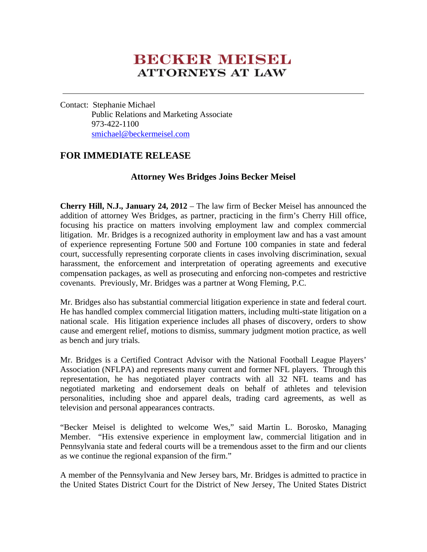# **BECKER MEESEL ATTORNEYS AT LAW**

Contact: Stephanie Michael Public Relations and Marketing Associate 973-422-1100 smichael@beckermeisel.com

## **FOR IMMEDIATE RELEASE**

### **Attorney Wes Bridges Joins Becker Meisel**

**Cherry Hill, N.J., January 24, 2012** – The law firm of Becker Meisel has announced the addition of attorney Wes Bridges, as partner, practicing in the firm's Cherry Hill office, focusing his practice on matters involving employment law and complex commercial litigation. Mr. Bridges is a recognized authority in employment law and has a vast amount of experience representing Fortune 500 and Fortune 100 companies in state and federal court, successfully representing corporate clients in cases involving discrimination, sexual harassment, the enforcement and interpretation of operating agreements and executive compensation packages, as well as prosecuting and enforcing non-competes and restrictive covenants. Previously, Mr. Bridges was a partner at Wong Fleming, P.C.

Mr. Bridges also has substantial commercial litigation experience in state and federal court. He has handled complex commercial litigation matters, including multi-state litigation on a national scale. His litigation experience includes all phases of discovery, orders to show cause and emergent relief, motions to dismiss, summary judgment motion practice, as well as bench and jury trials.

Mr. Bridges is a Certified Contract Advisor with the National Football League Players' Association (NFLPA) and represents many current and former NFL players. Through this representation, he has negotiated player contracts with all 32 NFL teams and has negotiated marketing and endorsement deals on behalf of athletes and television personalities, including shoe and apparel deals, trading card agreements, as well as television and personal appearances contracts.

"Becker Meisel is delighted to welcome Wes," said Martin L. Borosko, Managing Member. "His extensive experience in employment law, commercial litigation and in Pennsylvania state and federal courts will be a tremendous asset to the firm and our clients as we continue the regional expansion of the firm."

A member of the Pennsylvania and New Jersey bars, Mr. Bridges is admitted to practice in the United States District Court for the District of New Jersey, The United States District